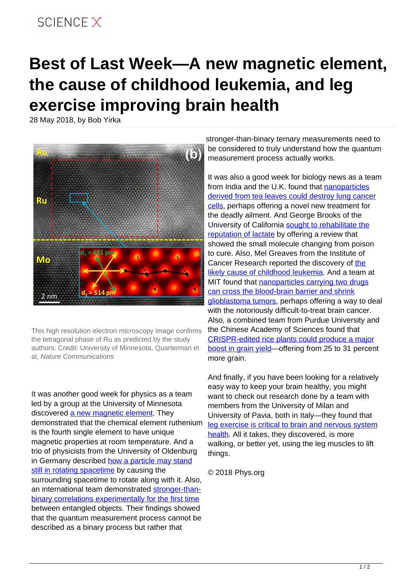## SCIFNCF X

## **Best of Last Week—A new magnetic element, the cause of childhood leukemia, and leg exercise improving brain health**

28 May 2018, by Bob Yirka



This high resolution electron microscopy image confirms the tetragonal phase of Ru as predicted by the study authors. Credit: University of Minnesota, Quarterman et al, Nature Communications

It was another good week for physics as a team led by a group at the University of Minnesota discovered [a new magnetic element.](https://phys.org/news/2018-05-scientists-magnetic-element.html) They demonstrated that the chemical element ruthenium is the fourth single element to have unique magnetic properties at room temperature. And a trio of physicists from the University of Oldenburg in Germany described [how a particle may stand](https://phys.org/news/2018-05-particle-rotating-spacetime.html) [still in rotating spacetime](https://phys.org/news/2018-05-particle-rotating-spacetime.html) by causing the surrounding spacetime to rotate along with it. Also, an international team demonstrated [stronger-than](https://phys.org/news/2018-05-stronger-than-binary-experimentally.html)[binary correlations experimentally for the first time](https://phys.org/news/2018-05-stronger-than-binary-experimentally.html) between entangled objects. Their findings showed that the quantum measurement process cannot be described as a binary process but rather that

stronger-than-binary ternary measurements need to be considered to truly understand how the quantum measurement process actually works.

It was also a good week for biology news as a team from India and the U.K. found that [nanoparticles](https://phys.org/news/2018-05-nanoparticles-derived-tea-lung-cancer.html) [derived from tea leaves could destroy lung cancer](https://phys.org/news/2018-05-nanoparticles-derived-tea-lung-cancer.html) [cells](https://phys.org/news/2018-05-nanoparticles-derived-tea-lung-cancer.html), perhaps offering a novel new treatment for the deadly ailment. And George Brooks of the University of California [sought to rehabilitate the](https://phys.org/news/2018-05-lactate-poison.html) [reputation of lactate](https://phys.org/news/2018-05-lactate-poison.html) by offering a review that showed the small molecule changing from poison to cure. Also, Mel Greaves from the Institute of Cancer Research reported [the](https://medicalxpress.com/news/2018-05-uk-scientist-reveals-childhood-leukaemia.html) discovery of the [likely cause of childhood leukemia.](https://medicalxpress.com/news/2018-05-uk-scientist-reveals-childhood-leukaemia.html) And a team at MIT found that [nanoparticles carrying two drugs](https://phys.org/news/2018-05-nanoparticles-drugs-blood-brain-barrier-glioblastoma.html) [can cross the blood-brain barrier and shrink](https://phys.org/news/2018-05-nanoparticles-drugs-blood-brain-barrier-glioblastoma.html) [glioblastoma tumors,](https://phys.org/news/2018-05-nanoparticles-drugs-blood-brain-barrier-glioblastoma.html) perhaps offering a way to deal with the notoriously difficult-to-treat brain cancer. Also, a combined team from Purdue University and the Chinese Academy of Sciences found that [CRISPR-edited rice plants could produce a major](https://phys.org/news/2018-05-crispr-edited-rice-major-boost-grain.html) [boost in grain yield](https://phys.org/news/2018-05-crispr-edited-rice-major-boost-grain.html)—offering from 25 to 31 percent more grain.

And finally, if you have been looking for a relatively easy way to keep your brain healthy, you might want to check out research done by a team with members from the University of Milan and University of Pavia, both in Italy—they found that [leg exercise is critical to brain and nervous system](https://medicalxpress.com/news/2018-05-leg-critical-brain-nervous-health.html) [health](https://medicalxpress.com/news/2018-05-leg-critical-brain-nervous-health.html). All it takes, they discovered, is more walking, or better yet, using the leg muscles to lift things.

© 2018 Phys.org